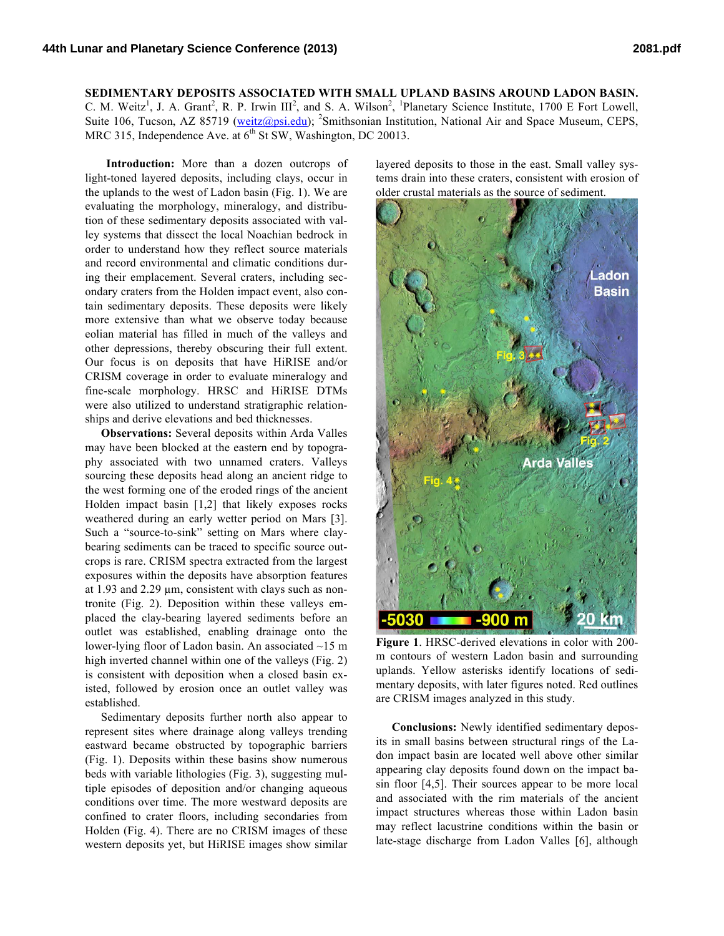## **SEDIMENTARY DEPOSITS ASSOCIATED WITH SMALL UPLAND BASINS AROUND LADON BASIN.** C. M. Weitz<sup>1</sup>, J. A. Grant<sup>2</sup>, R. P. Irwin  $III^2$ , and S. A. Wilson<sup>2</sup>, <sup>1</sup>Planetary Science Institute, 1700 E Fort Lowell,

Suite 106, Tucson, AZ 85719 (weitz@psi.edu); <sup>2</sup>Smithsonian Institution, National Air and Space Museum, CEPS, MRC 315, Independence Ave. at  $6<sup>th</sup>$  St SW, Washington, DC 20013.

**Introduction:** More than a dozen outcrops of light-toned layered deposits, including clays, occur in the uplands to the west of Ladon basin (Fig. 1). We are evaluating the morphology, mineralogy, and distribution of these sedimentary deposits associated with valley systems that dissect the local Noachian bedrock in order to understand how they reflect source materials and record environmental and climatic conditions during their emplacement. Several craters, including secondary craters from the Holden impact event, also contain sedimentary deposits. These deposits were likely more extensive than what we observe today because eolian material has filled in much of the valleys and other depressions, thereby obscuring their full extent. Our focus is on deposits that have HiRISE and/or CRISM coverage in order to evaluate mineralogy and fine-scale morphology. HRSC and HiRISE DTMs were also utilized to understand stratigraphic relationships and derive elevations and bed thicknesses.

**Observations:** Several deposits within Arda Valles may have been blocked at the eastern end by topography associated with two unnamed craters. Valleys sourcing these deposits head along an ancient ridge to the west forming one of the eroded rings of the ancient Holden impact basin [1,2] that likely exposes rocks weathered during an early wetter period on Mars [3]. Such a "source-to-sink" setting on Mars where claybearing sediments can be traced to specific source outcrops is rare. CRISM spectra extracted from the largest exposures within the deposits have absorption features at 1.93 and 2.29 µm, consistent with clays such as nontronite (Fig. 2). Deposition within these valleys emplaced the clay-bearing layered sediments before an outlet was established, enabling drainage onto the lower-lying floor of Ladon basin. An associated ~15 m high inverted channel within one of the valleys (Fig. 2) is consistent with deposition when a closed basin existed, followed by erosion once an outlet valley was established.

Sedimentary deposits further north also appear to represent sites where drainage along valleys trending eastward became obstructed by topographic barriers (Fig. 1). Deposits within these basins show numerous beds with variable lithologies (Fig. 3), suggesting multiple episodes of deposition and/or changing aqueous conditions over time. The more westward deposits are confined to crater floors, including secondaries from Holden (Fig. 4). There are no CRISM images of these western deposits yet, but HiRISE images show similar

layered deposits to those in the east. Small valley systems drain into these craters, consistent with erosion of older crustal materials as the source of sediment.



**Figure 1**. HRSC-derived elevations in color with 200 m contours of western Ladon basin and surrounding uplands. Yellow asterisks identify locations of sedimentary deposits, with later figures noted. Red outlines are CRISM images analyzed in this study.

**Conclusions:** Newly identified sedimentary deposits in small basins between structural rings of the Ladon impact basin are located well above other similar appearing clay deposits found down on the impact basin floor [4,5]. Their sources appear to be more local and associated with the rim materials of the ancient impact structures whereas those within Ladon basin may reflect lacustrine conditions within the basin or late-stage discharge from Ladon Valles [6], although